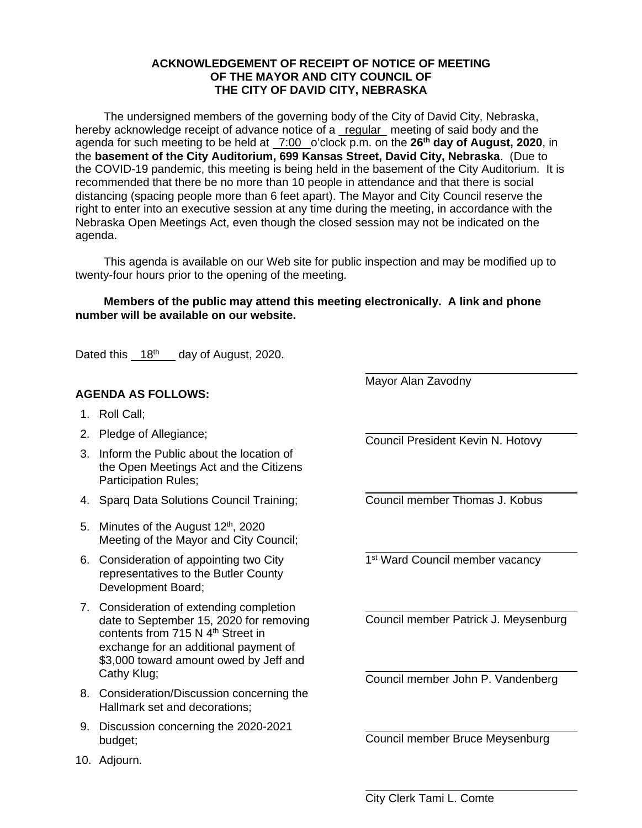## **ACKNOWLEDGEMENT OF RECEIPT OF NOTICE OF MEETING OF THE MAYOR AND CITY COUNCIL OF THE CITY OF DAVID CITY, NEBRASKA**

The undersigned members of the governing body of the City of David City, Nebraska, hereby acknowledge receipt of advance notice of a regular meeting of said body and the agenda for such meeting to be held at 7:00 o'clock p.m. on the **26th day of August, 2020**, in the **basement of the City Auditorium, 699 Kansas Street, David City, Nebraska**. (Due to the COVID-19 pandemic, this meeting is being held in the basement of the City Auditorium. It is recommended that there be no more than 10 people in attendance and that there is social distancing (spacing people more than 6 feet apart). The Mayor and City Council reserve the right to enter into an executive session at any time during the meeting, in accordance with the Nebraska Open Meetings Act, even though the closed session may not be indicated on the agenda.

This agenda is available on our Web site for public inspection and may be modified up to twenty-four hours prior to the opening of the meeting.

 $\overline{a}$ 

 $\overline{a}$ 

 $\overline{a}$ 

 $\overline{a}$ 

 $\overline{a}$ 

 $\overline{a}$ 

 $\overline{a}$ 

## **Members of the public may attend this meeting electronically. A link and phone number will be available on our website.**

Dated this  $18<sup>th</sup>$  day of August, 2020.

## **AGENDA AS FOLLOWS:**

- 1. Roll Call;
- 2. Pledge of Allegiance;
- 3. Inform the Public about the location of the Open Meetings Act and the Citizens Participation Rules;
- 4. Sparq Data Solutions Council Training;
- 5. Minutes of the August 12<sup>th</sup>, 2020 Meeting of the Mayor and City Council;
- 6. Consideration of appointing two City representatives to the Butler County Development Board;
- 7. Consideration of extending completion date to September 15, 2020 for removing contents from 715 N 4<sup>th</sup> Street in exchange for an additional payment of \$3,000 toward amount owed by Jeff and Cathy Klug;
- 8. Consideration/Discussion concerning the Hallmark set and decorations;
- 9. Discussion concerning the 2020-2021 budget;
- 10. Adjourn.

 $\overline{a}$ Council President Kevin N. Hotovy

Mayor Alan Zavodny

Council member Thomas J. Kobus

1<sup>st</sup> Ward Council member vacancy

Council member Patrick J. Meysenburg

Council member John P. Vandenberg

Council member Bruce Meysenburg